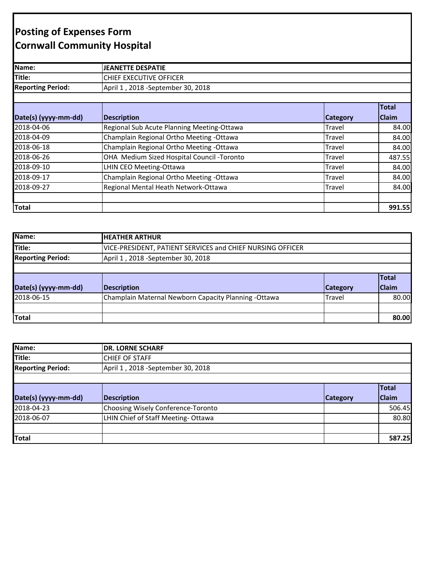## **Posting of Expenses Form Cornwall Community Hospital**

| Name:                    | <b>JEANETTE DESPATIE</b>                   |                 |                       |
|--------------------------|--------------------------------------------|-----------------|-----------------------|
| Title:                   | CHIEF EXECUTIVE OFFICER                    |                 |                       |
| <b>Reporting Period:</b> | April 1, 2018 - September 30, 2018         |                 |                       |
| Date(s) (yyyy-mm-dd)     | <b>Description</b>                         | <b>Category</b> | <b>Total</b><br>Claim |
| 2018-04-06               | Regional Sub Acute Planning Meeting-Ottawa | Travel          | 84.00                 |
| 2018-04-09               | Champlain Regional Ortho Meeting -Ottawa   | Travel          | 84.00                 |
| 2018-06-18               | Champlain Regional Ortho Meeting - Ottawa  | Travel          | 84.00                 |
| 2018-06-26               | OHA Medium Sized Hospital Council -Toronto | Travel          | 487.55                |
| 2018-09-10               | LHIN CEO Meeting-Ottawa                    | Travel          | 84.00                 |
| 2018-09-17               | Champlain Regional Ortho Meeting - Ottawa  | Travel          | 84.00                 |
| 2018-09-27               | Regional Mental Heath Network-Ottawa       | Travel          | 84.00                 |
| <b>Total</b>             |                                            |                 | 991.55                |

| Name:                    | <b>HEATHER ARTHUR</b>                                      |                 |              |
|--------------------------|------------------------------------------------------------|-----------------|--------------|
| Title:                   | VICE-PRESIDENT, PATIENT SERVICES and CHIEF NURSING OFFICER |                 |              |
| <b>Reporting Period:</b> | April 1, 2018 - September 30, 2018                         |                 |              |
|                          |                                                            |                 |              |
|                          |                                                            |                 | <b>Total</b> |
| Date(s) (yyyy-mm-dd)     | <b>Description</b>                                         | <b>Category</b> | <b>Claim</b> |
| 2018-06-15               | Champlain Maternal Newborn Capacity Planning -Ottawa       | Travel          | 80.00        |
|                          |                                                            |                 |              |
| Total                    |                                                            |                 | 80.00        |

| Name:                    | <b>DR. LORNE SCHARF</b>            |                 |              |
|--------------------------|------------------------------------|-----------------|--------------|
| Title:                   | <b>CHIEF OF STAFF</b>              |                 |              |
| <b>Reporting Period:</b> | April 1, 2018 - September 30, 2018 |                 |              |
|                          |                                    |                 |              |
|                          |                                    |                 | <b>Total</b> |
| Date(s) (yyyy-mm-dd)     | <b>Description</b>                 | <b>Category</b> | <b>Claim</b> |
| 2018-04-23               | Choosing Wisely Conference-Toronto |                 | 506.45       |
| 2018-06-07               | LHIN Chief of Staff Meeting-Ottawa |                 | 80.80        |
|                          |                                    |                 |              |
| Total                    |                                    |                 | 587.25       |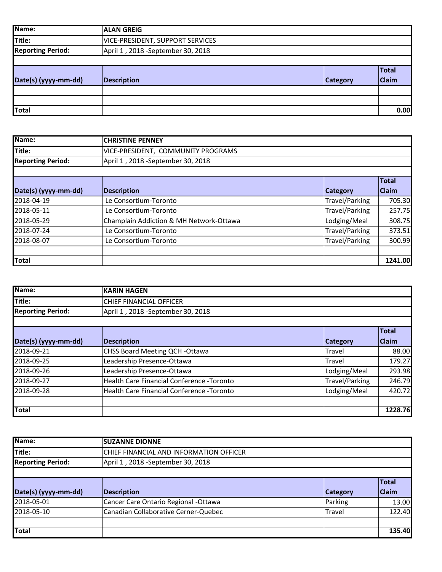| Name:                    | <b>ALAN GREIG</b>                       |                 |              |
|--------------------------|-----------------------------------------|-----------------|--------------|
| Title:                   | <b>VICE-PRESIDENT, SUPPORT SERVICES</b> |                 |              |
| <b>Reporting Period:</b> | April 1, 2018 - September 30, 2018      |                 |              |
|                          |                                         |                 |              |
|                          |                                         |                 | Total        |
| Date(s) (yyyy-mm-dd)     | Description                             | <b>Category</b> | <b>Claim</b> |
|                          |                                         |                 |              |
|                          |                                         |                 |              |
| <b>Total</b>             |                                         |                 | 0.00         |

| Name:                    | <b>CHRISTINE PENNEY</b>                 |                       |              |
|--------------------------|-----------------------------------------|-----------------------|--------------|
| Title:                   | VICE-PRESIDENT, COMMUNITY PROGRAMS      |                       |              |
| <b>Reporting Period:</b> | April 1, 2018 - September 30, 2018      |                       |              |
|                          |                                         |                       |              |
|                          |                                         |                       | <b>Total</b> |
| Date(s) (yyyy-mm-dd)     | <b>Description</b>                      | <b>Category</b>       | <b>Claim</b> |
| 2018-04-19               | Le Consortium-Toronto                   | <b>Travel/Parking</b> | 705.30       |
| 2018-05-11               | Le Consortium-Toronto                   | <b>Travel/Parking</b> | 257.75       |
| 2018-05-29               | Champlain Addiction & MH Network-Ottawa | Lodging/Meal          | 308.75       |
| 2018-07-24               | Le Consortium-Toronto                   | <b>Travel/Parking</b> | 373.51       |
| 2018-08-07               | Le Consortium-Toronto                   | <b>Travel/Parking</b> | 300.99       |
|                          |                                         |                       |              |
| <b>Total</b>             |                                         |                       | 1241.00      |

| Name:                    | <b>KARIN HAGEN</b>                         |                 |              |
|--------------------------|--------------------------------------------|-----------------|--------------|
| Title:                   | CHIEF FINANCIAL OFFICER                    |                 |              |
| <b>Reporting Period:</b> | April 1, 2018 - September 30, 2018         |                 |              |
|                          |                                            |                 |              |
|                          |                                            |                 | <b>Total</b> |
| Date(s) (yyyy-mm-dd)     | <b>Description</b>                         | <b>Category</b> | <b>Claim</b> |
| 2018-09-21               | <b>CHSS Board Meeting QCH -Ottawa</b>      | Travel          | 88.00        |
| 2018-09-25               | Leadership Presence-Ottawa                 | Travel          | 179.27       |
| 2018-09-26               | Leadership Presence-Ottawa                 | Lodging/Meal    | 293.98       |
| 2018-09-27               | Health Care Financial Conference - Toronto | Travel/Parking  | 246.79       |
| 2018-09-28               | Health Care Financial Conference - Toronto | Lodging/Meal    | 420.72       |
|                          |                                            |                 |              |
| <b>Total</b>             |                                            |                 | 1228.76      |

| Name:                    | <b>SUZANNE DIONNE</b>                   |                 |              |
|--------------------------|-----------------------------------------|-----------------|--------------|
| Title:                   | CHIEF FINANCIAL AND INFORMATION OFFICER |                 |              |
| <b>Reporting Period:</b> | April 1, 2018 - September 30, 2018      |                 |              |
|                          |                                         |                 |              |
|                          |                                         |                 | <b>Total</b> |
| Date(s) (yyyy-mm-dd)     | <b>Description</b>                      | <b>Category</b> | <b>Claim</b> |
| 2018-05-01               | Cancer Care Ontario Regional -Ottawa    | Parking         | 13.00        |
| 2018-05-10               | Canadian Collaborative Cerner-Quebec    | Travel          | 122.40       |
|                          |                                         |                 |              |
| <b>Total</b>             |                                         |                 | 135.40       |